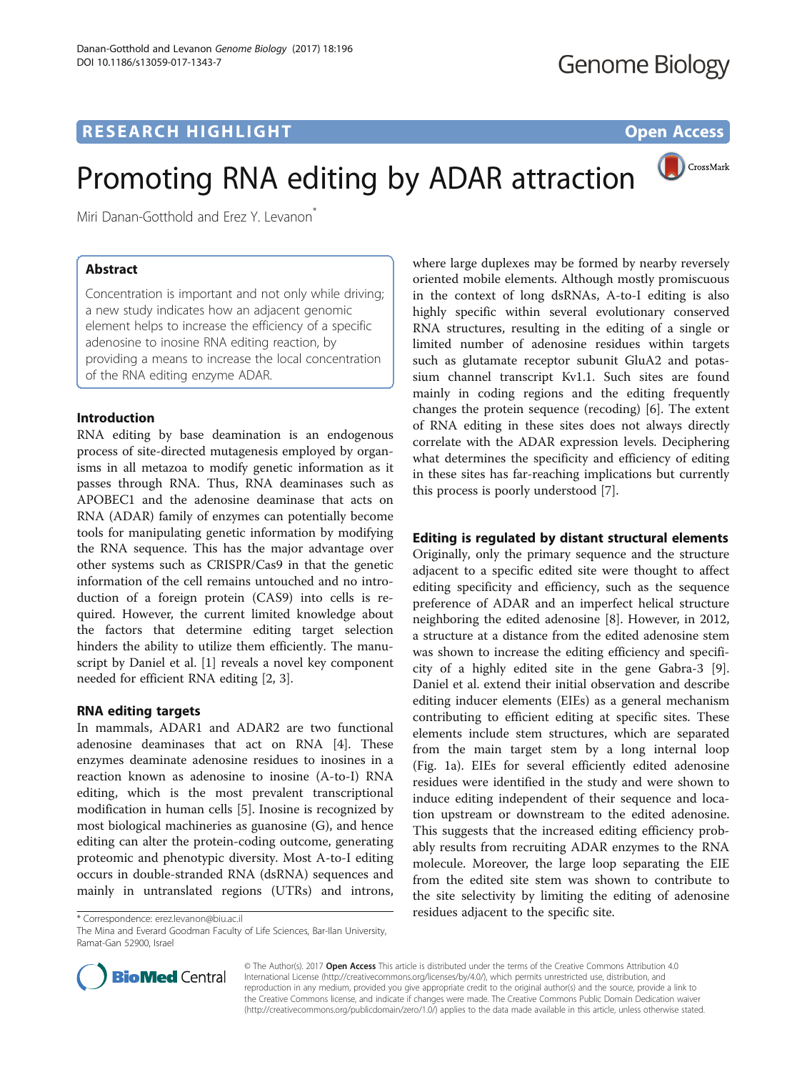CrossMark

## **RESEARCH HIGHLIGHT CONSUMING THE OPEN ACCESS**

# Promoting RNA editing by ADAR attraction

Miri Danan-Gotthold and Erez Y. Levanon<sup>\*</sup>

## Abstract

Concentration is important and not only while driving; a new study indicates how an adjacent genomic element helps to increase the efficiency of a specific adenosine to inosine RNA editing reaction, by providing a means to increase the local concentration of the RNA editing enzyme ADAR.

## Introduction

RNA editing by base deamination is an endogenous process of site-directed mutagenesis employed by organisms in all metazoa to modify genetic information as it passes through RNA. Thus, RNA deaminases such as APOBEC1 and the adenosine deaminase that acts on RNA (ADAR) family of enzymes can potentially become tools for manipulating genetic information by modifying the RNA sequence. This has the major advantage over other systems such as CRISPR/Cas9 in that the genetic information of the cell remains untouched and no introduction of a foreign protein (CAS9) into cells is required. However, the current limited knowledge about the factors that determine editing target selection hinders the ability to utilize them efficiently. The manuscript by Daniel et al. [[1\]](#page-2-0) reveals a novel key component needed for efficient RNA editing [\[2](#page-2-0), [3](#page-2-0)].

## RNA editing targets

In mammals, ADAR1 and ADAR2 are two functional adenosine deaminases that act on RNA [[4\]](#page-2-0). These enzymes deaminate adenosine residues to inosines in a reaction known as adenosine to inosine (A-to-I) RNA editing, which is the most prevalent transcriptional modification in human cells [[5\]](#page-2-0). Inosine is recognized by most biological machineries as guanosine (G), and hence editing can alter the protein-coding outcome, generating proteomic and phenotypic diversity. Most A-to-I editing occurs in double-stranded RNA (dsRNA) sequences and mainly in untranslated regions (UTRs) and introns,

The Mina and Everard Goodman Faculty of Life Sciences, Bar-Ilan University, Ramat-Gan 52900, Israel



## Editing is regulated by distant structural elements

Originally, only the primary sequence and the structure adjacent to a specific edited site were thought to affect editing specificity and efficiency, such as the sequence preference of ADAR and an imperfect helical structure neighboring the edited adenosine [[8\]](#page-2-0). However, in 2012, a structure at a distance from the edited adenosine stem was shown to increase the editing efficiency and specificity of a highly edited site in the gene Gabra-3 [\[9](#page-2-0)]. Daniel et al. extend their initial observation and describe editing inducer elements (EIEs) as a general mechanism contributing to efficient editing at specific sites. These elements include stem structures, which are separated from the main target stem by a long internal loop (Fig. [1a](#page-1-0)). EIEs for several efficiently edited adenosine residues were identified in the study and were shown to induce editing independent of their sequence and location upstream or downstream to the edited adenosine. This suggests that the increased editing efficiency probably results from recruiting ADAR enzymes to the RNA molecule. Moreover, the large loop separating the EIE from the edited site stem was shown to contribute to the site selectivity by limiting the editing of adenosine residues adjacent to the specific site.



© The Author(s). 2017 **Open Access** This article is distributed under the terms of the Creative Commons Attribution 4.0 International License [\(http://creativecommons.org/licenses/by/4.0/](http://creativecommons.org/licenses/by/4.0/)), which permits unrestricted use, distribution, and reproduction in any medium, provided you give appropriate credit to the original author(s) and the source, provide a link to the Creative Commons license, and indicate if changes were made. The Creative Commons Public Domain Dedication waiver [\(http://creativecommons.org/publicdomain/zero/1.0/](http://creativecommons.org/publicdomain/zero/1.0/)) applies to the data made available in this article, unless otherwise stated.

<sup>\*</sup> Correspondence: [erez.levanon@biu.ac.il](mailto:erez.levanon@biu.ac.il)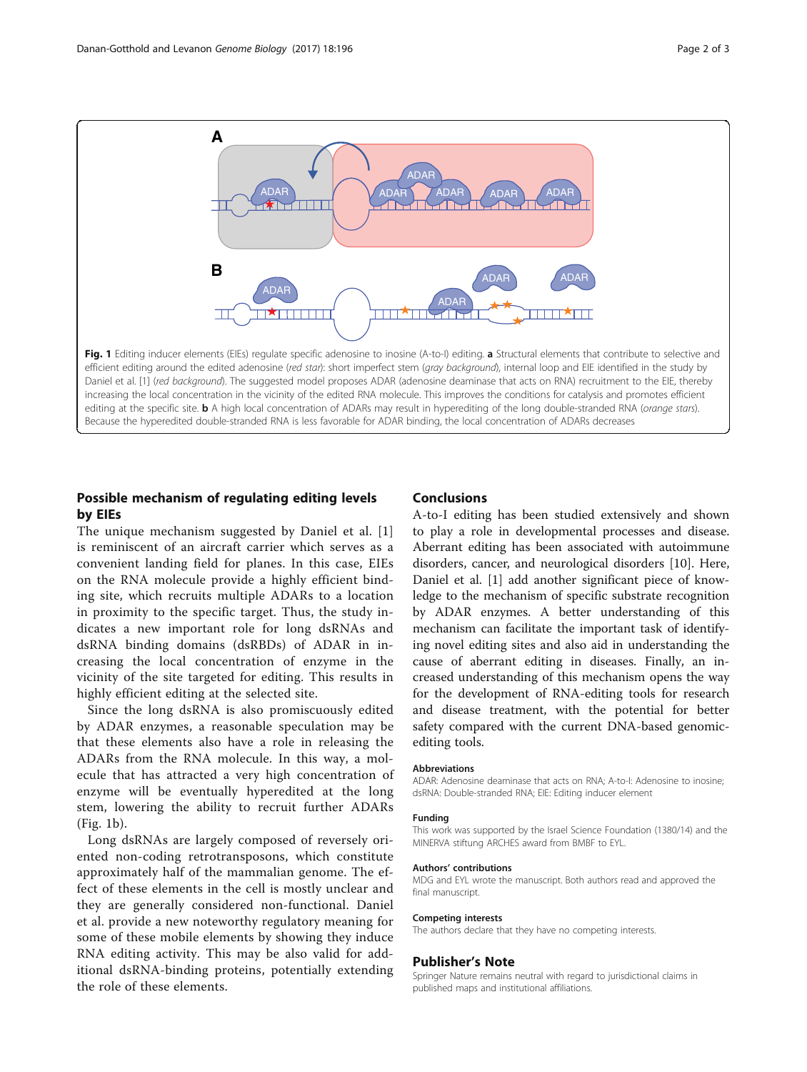<span id="page-1-0"></span>

## Possible mechanism of regulating editing levels by EIEs

The unique mechanism suggested by Daniel et al. [\[1](#page-2-0)] is reminiscent of an aircraft carrier which serves as a convenient landing field for planes. In this case, EIEs on the RNA molecule provide a highly efficient binding site, which recruits multiple ADARs to a location in proximity to the specific target. Thus, the study indicates a new important role for long dsRNAs and dsRNA binding domains (dsRBDs) of ADAR in increasing the local concentration of enzyme in the vicinity of the site targeted for editing. This results in highly efficient editing at the selected site.

Since the long dsRNA is also promiscuously edited by ADAR enzymes, a reasonable speculation may be that these elements also have a role in releasing the ADARs from the RNA molecule. In this way, a molecule that has attracted a very high concentration of enzyme will be eventually hyperedited at the long stem, lowering the ability to recruit further ADARs (Fig. 1b).

Long dsRNAs are largely composed of reversely oriented non-coding retrotransposons, which constitute approximately half of the mammalian genome. The effect of these elements in the cell is mostly unclear and they are generally considered non-functional. Daniel et al. provide a new noteworthy regulatory meaning for some of these mobile elements by showing they induce RNA editing activity. This may be also valid for additional dsRNA-binding proteins, potentially extending the role of these elements.

### Conclusions

A-to-I editing has been studied extensively and shown to play a role in developmental processes and disease. Aberrant editing has been associated with autoimmune disorders, cancer, and neurological disorders [\[10](#page-2-0)]. Here, Daniel et al. [\[1](#page-2-0)] add another significant piece of knowledge to the mechanism of specific substrate recognition by ADAR enzymes. A better understanding of this mechanism can facilitate the important task of identifying novel editing sites and also aid in understanding the cause of aberrant editing in diseases. Finally, an increased understanding of this mechanism opens the way for the development of RNA-editing tools for research and disease treatment, with the potential for better safety compared with the current DNA-based genomicediting tools.

#### Abbreviations

ADAR: Adenosine deaminase that acts on RNA; A-to-I: Adenosine to inosine; dsRNA: Double-stranded RNA; EIE: Editing inducer element

#### Funding

This work was supported by the Israel Science Foundation (1380/14) and the MINERVA stiftung ARCHES award from BMBF to EYL.

#### Authors' contributions

MDG and EYL wrote the manuscript. Both authors read and approved the final manuscript.

#### Competing interests

The authors declare that they have no competing interests.

#### Publisher's Note

Springer Nature remains neutral with regard to jurisdictional claims in published maps and institutional affiliations.